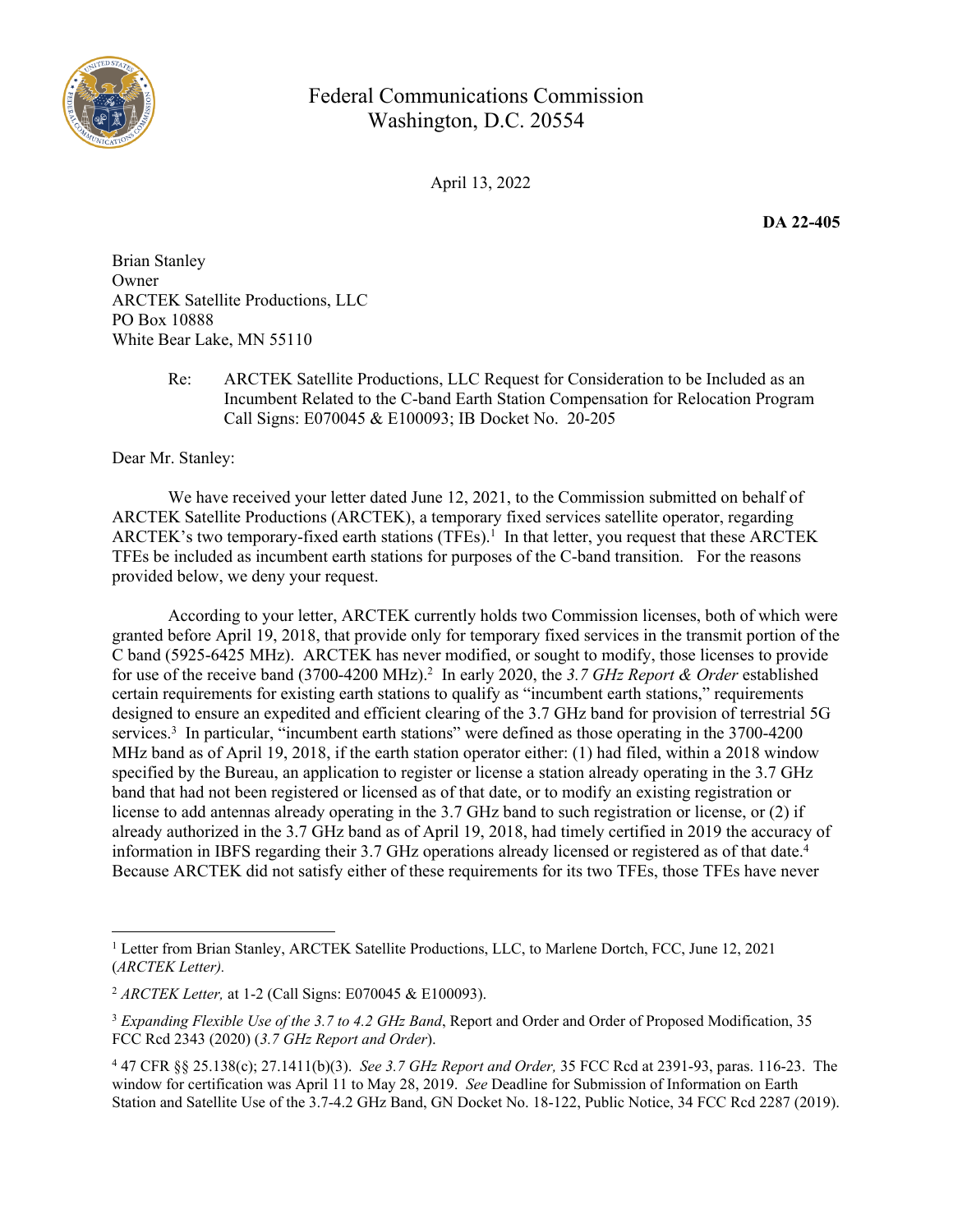

## Federal Communications Commission Washington, D.C. 20554

April 13, 2022

**DA 22-405**

Brian Stanley Owner ARCTEK Satellite Productions, LLC PO Box 10888 White Bear Lake, MN 55110

> Re: ARCTEK Satellite Productions, LLC Request for Consideration to be Included as an Incumbent Related to the C-band Earth Station Compensation for Relocation Program Call Signs: E070045 & E100093; IB Docket No. 20-205

Dear Mr. Stanley:

We have received your letter dated June 12, 2021, to the Commission submitted on behalf of ARCTEK Satellite Productions (ARCTEK), a temporary fixed services satellite operator, regarding ARCTEK's two temporary-fixed earth stations (TFEs).<sup>1</sup> In that letter, you request that these ARCTEK TFEs be included as incumbent earth stations for purposes of the C-band transition. For the reasons provided below, we deny your request.

According to your letter, ARCTEK currently holds two Commission licenses, both of which were granted before April 19, 2018, that provide only for temporary fixed services in the transmit portion of the C band (5925-6425 MHz). ARCTEK has never modified, or sought to modify, those licenses to provide for use of the receive band (3700-4200 MHz).<sup>2</sup> In early 2020, the 3.7 GHz Report & Order established certain requirements for existing earth stations to qualify as "incumbent earth stations," requirements designed to ensure an expedited and efficient clearing of the 3.7 GHz band for provision of terrestrial 5G services.<sup>3</sup> In particular, "incumbent earth stations" were defined as those operating in the 3700-4200 MHz band as of April 19, 2018, if the earth station operator either: (1) had filed, within a 2018 window specified by the Bureau, an application to register or license a station already operating in the 3.7 GHz band that had not been registered or licensed as of that date, or to modify an existing registration or license to add antennas already operating in the 3.7 GHz band to such registration or license, or (2) if already authorized in the 3.7 GHz band as of April 19, 2018, had timely certified in 2019 the accuracy of information in IBFS regarding their 3.7 GHz operations already licensed or registered as of that date.<sup>4</sup> Because ARCTEK did not satisfy either of these requirements for its two TFEs, those TFEs have never

<sup>&</sup>lt;sup>1</sup> Letter from Brian Stanley, ARCTEK Satellite Productions, LLC, to Marlene Dortch, FCC, June 12, 2021 (*ARCTEK Letter).*

<sup>2</sup> *ARCTEK Letter,* at 1-2 (Call Signs: E070045 & E100093).

<sup>3</sup> *Expanding Flexible Use of the 3.7 to 4.2 GHz Band*, Report and Order and Order of Proposed Modification, 35 FCC Rcd 2343 (2020) (*3.7 GHz Report and Order*).

<sup>4</sup> 47 CFR §§ 25.138(c); 27.1411(b)(3). *See 3.7 GHz Report and Order,* 35 FCC Rcd at 2391-93, paras. 116-23. The window for certification was April 11 to May 28, 2019. *See* Deadline for Submission of Information on Earth Station and Satellite Use of the 3.7-4.2 GHz Band, GN Docket No. 18-122, Public Notice, 34 FCC Rcd 2287 (2019).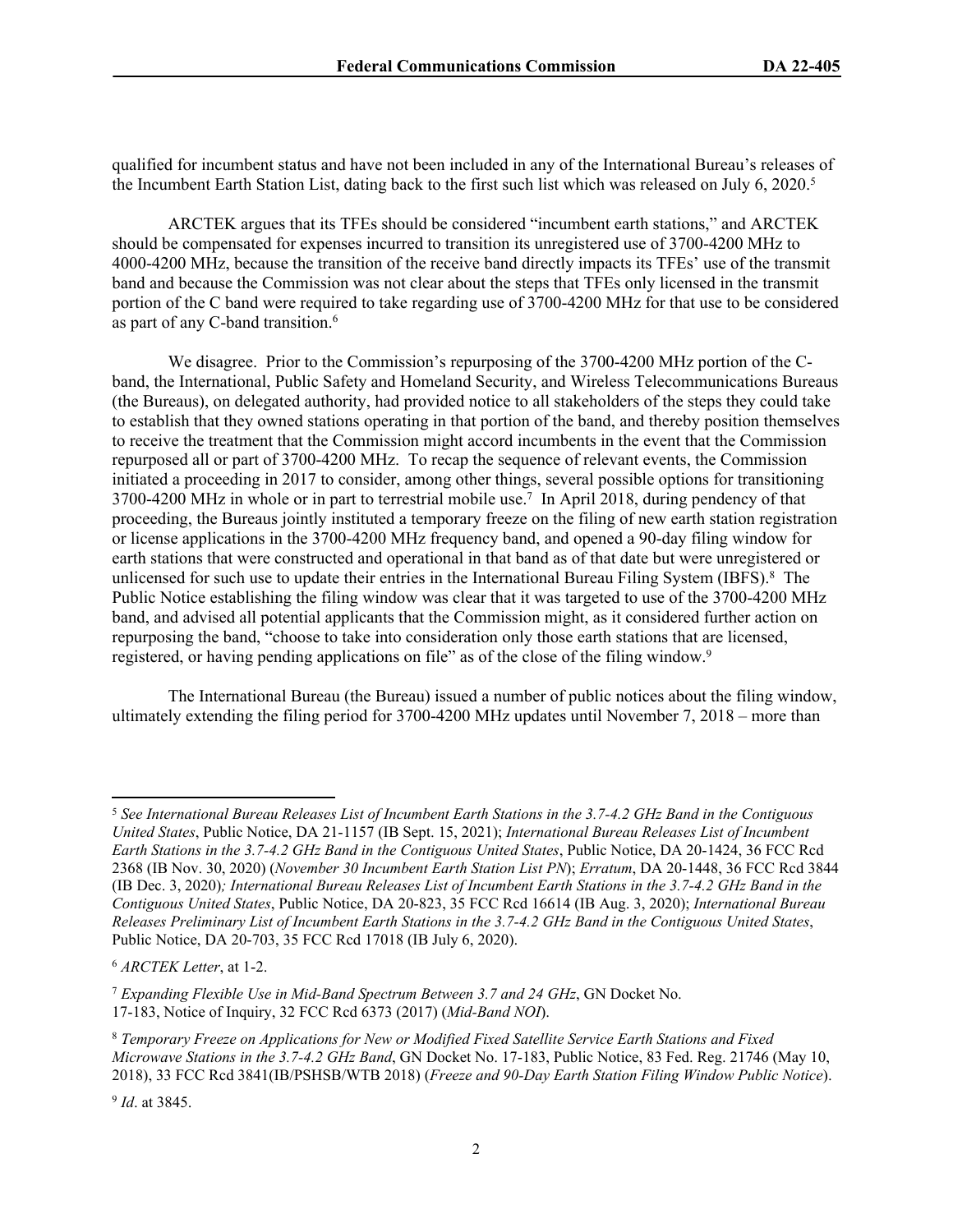qualified for incumbent status and have not been included in any of the International Bureau's releases of the Incumbent Earth Station List, dating back to the first such list which was released on July 6, 2020.<sup>5</sup>

ARCTEK argues that its TFEs should be considered "incumbent earth stations," and ARCTEK should be compensated for expenses incurred to transition its unregistered use of 3700-4200 MHz to 4000-4200 MHz, because the transition of the receive band directly impacts its TFEs' use of the transmit band and because the Commission was not clear about the steps that TFEs only licensed in the transmit portion of the C band were required to take regarding use of 3700-4200 MHz for that use to be considered as part of any C-band transition.<sup>6</sup>

We disagree. Prior to the Commission's repurposing of the 3700-4200 MHz portion of the Cband, the International, Public Safety and Homeland Security, and Wireless Telecommunications Bureaus (the Bureaus), on delegated authority, had provided notice to all stakeholders of the steps they could take to establish that they owned stations operating in that portion of the band, and thereby position themselves to receive the treatment that the Commission might accord incumbents in the event that the Commission repurposed all or part of 3700-4200 MHz. To recap the sequence of relevant events, the Commission initiated a proceeding in 2017 to consider, among other things, several possible options for transitioning 3700-4200 MHz in whole or in part to terrestrial mobile use.<sup>7</sup> In April 2018, during pendency of that proceeding, the Bureaus jointly instituted a temporary freeze on the filing of new earth station registration or license applications in the 3700-4200 MHz frequency band, and opened a 90-day filing window for earth stations that were constructed and operational in that band as of that date but were unregistered or unlicensed for such use to update their entries in the International Bureau Filing System (IBFS).<sup>8</sup> The Public Notice establishing the filing window was clear that it was targeted to use of the 3700-4200 MHz band, and advised all potential applicants that the Commission might, as it considered further action on repurposing the band, "choose to take into consideration only those earth stations that are licensed, registered, or having pending applications on file" as of the close of the filing window.<sup>9</sup>

The International Bureau (the Bureau) issued a number of public notices about the filing window, ultimately extending the filing period for 3700-4200 MHz updates until November 7, 2018 – more than

<sup>5</sup> *See International Bureau Releases List of Incumbent Earth Stations in the 3.7-4.2 GHz Band in the Contiguous United States*, Public Notice, DA 21-1157 (IB Sept. 15, 2021); *International Bureau Releases List of Incumbent Earth Stations in the 3.7-4.2 GHz Band in the Contiguous United States*, Public Notice, DA 20-1424, 36 FCC Rcd 2368 (IB Nov. 30, 2020) (*November 30 Incumbent Earth Station List PN*); *Erratum*, DA 20-1448, 36 FCC Rcd 3844 (IB Dec. 3, 2020)*; International Bureau Releases List of Incumbent Earth Stations in the 3.7-4.2 GHz Band in the Contiguous United States*, Public Notice, DA 20-823, 35 FCC Rcd 16614 (IB Aug. 3, 2020); *International Bureau Releases Preliminary List of Incumbent Earth Stations in the 3.7-4.2 GHz Band in the Contiguous United States*, Public Notice, DA 20-703, 35 FCC Rcd 17018 (IB July 6, 2020).

<sup>6</sup> *ARCTEK Letter*, at 1-2.

<sup>7</sup> *Expanding Flexible Use in Mid-Band Spectrum Between 3.7 and 24 GHz*, GN Docket No. 17-183, Notice of Inquiry, 32 FCC Rcd 6373 (2017) (*Mid-Band NOI*).

<sup>8</sup> *Temporary Freeze on Applications for New or Modified Fixed Satellite Service Earth Stations and Fixed Microwave Stations in the 3.7-4.2 GHz Band*, GN Docket No. 17-183, Public Notice, 83 Fed. Reg. 21746 (May 10, 2018), 33 FCC Rcd 3841(IB/PSHSB/WTB 2018) (*Freeze and 90-Day Earth Station Filing Window Public Notice*).

<sup>9</sup> *Id*. at 3845.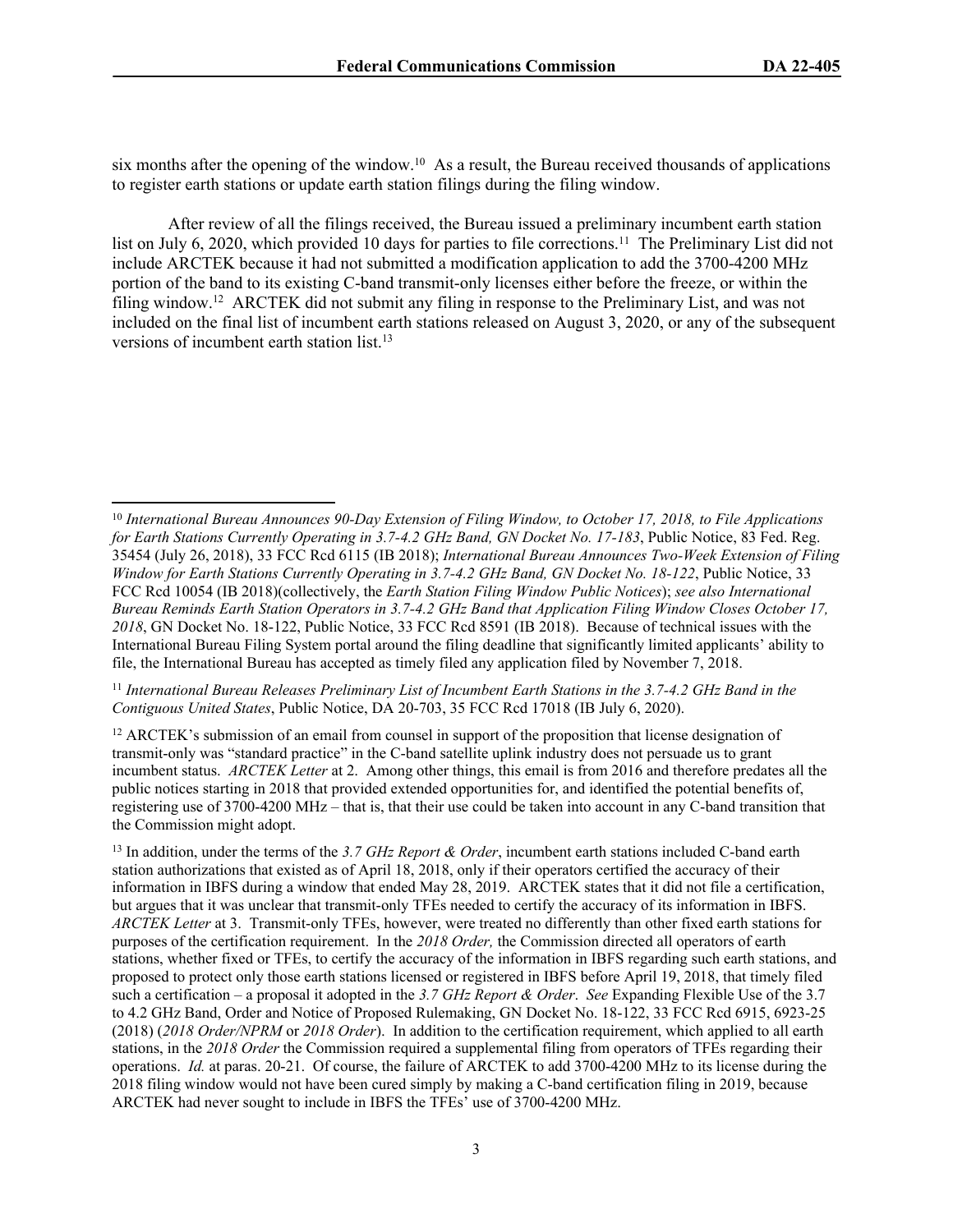six months after the opening of the window.<sup>10</sup> As a result, the Bureau received thousands of applications to register earth stations or update earth station filings during the filing window.

After review of all the filings received, the Bureau issued a preliminary incumbent earth station list on July 6, 2020, which provided 10 days for parties to file corrections.<sup>11</sup> The Preliminary List did not include ARCTEK because it had not submitted a modification application to add the 3700-4200 MHz portion of the band to its existing C-band transmit-only licenses either before the freeze, or within the filing window.<sup>12</sup> ARCTEK did not submit any filing in response to the Preliminary List, and was not included on the final list of incumbent earth stations released on August 3, 2020, or any of the subsequent versions of incumbent earth station list.<sup>13</sup>

<sup>11</sup> *International Bureau Releases Preliminary List of Incumbent Earth Stations in the 3.7-4.2 GHz Band in the Contiguous United States*, Public Notice, DA 20-703, 35 FCC Rcd 17018 (IB July 6, 2020).

<sup>12</sup> ARCTEK's submission of an email from counsel in support of the proposition that license designation of transmit-only was "standard practice" in the C-band satellite uplink industry does not persuade us to grant incumbent status. *ARCTEK Letter* at 2. Among other things, this email is from 2016 and therefore predates all the public notices starting in 2018 that provided extended opportunities for, and identified the potential benefits of, registering use of 3700-4200 MHz – that is, that their use could be taken into account in any C-band transition that the Commission might adopt.

<sup>13</sup> In addition, under the terms of the *3.7 GHz Report & Order*, incumbent earth stations included C-band earth station authorizations that existed as of April 18, 2018, only if their operators certified the accuracy of their information in IBFS during a window that ended May 28, 2019. ARCTEK states that it did not file a certification, but argues that it was unclear that transmit-only TFEs needed to certify the accuracy of its information in IBFS. *ARCTEK Letter* at 3. Transmit-only TFEs, however, were treated no differently than other fixed earth stations for purposes of the certification requirement. In the *2018 Order,* the Commission directed all operators of earth stations, whether fixed or TFEs, to certify the accuracy of the information in IBFS regarding such earth stations, and proposed to protect only those earth stations licensed or registered in IBFS before April 19, 2018, that timely filed such a certification – a proposal it adopted in the *3.7 GHz Report & Order*. *See* Expanding Flexible Use of the 3.7 to 4.2 GHz Band, Order and Notice of Proposed Rulemaking, GN Docket No. 18-122, 33 FCC Rcd 6915, 6923-25 (2018) (*2018 Order/NPRM* or *2018 Order*). In addition to the certification requirement, which applied to all earth stations, in the *2018 Order* the Commission required a supplemental filing from operators of TFEs regarding their operations. *Id.* at paras. 20-21. Of course, the failure of ARCTEK to add 3700-4200 MHz to its license during the 2018 filing window would not have been cured simply by making a C-band certification filing in 2019, because ARCTEK had never sought to include in IBFS the TFEs' use of 3700-4200 MHz.

<sup>10</sup> *International Bureau Announces 90-Day Extension of Filing Window, to October 17, 2018, to File Applications for Earth Stations Currently Operating in 3.7-4.2 GHz Band, GN Docket No. 17-183*, Public Notice, 83 Fed. Reg. 35454 (July 26, 2018), 33 FCC Rcd 6115 (IB 2018); *International Bureau Announces Two-Week Extension of Filing Window for Earth Stations Currently Operating in 3.7-4.2 GHz Band, GN Docket No. 18-122*, Public Notice, 33 FCC Rcd 10054 (IB 2018)(collectively, the *Earth Station Filing Window Public Notices*); *see also International Bureau Reminds Earth Station Operators in 3.7-4.2 GHz Band that Application Filing Window Closes October 17, 2018*, GN Docket No. 18-122, Public Notice, 33 FCC Rcd 8591 (IB 2018). Because of technical issues with the International Bureau Filing System portal around the filing deadline that significantly limited applicants' ability to file, the International Bureau has accepted as timely filed any application filed by November 7, 2018.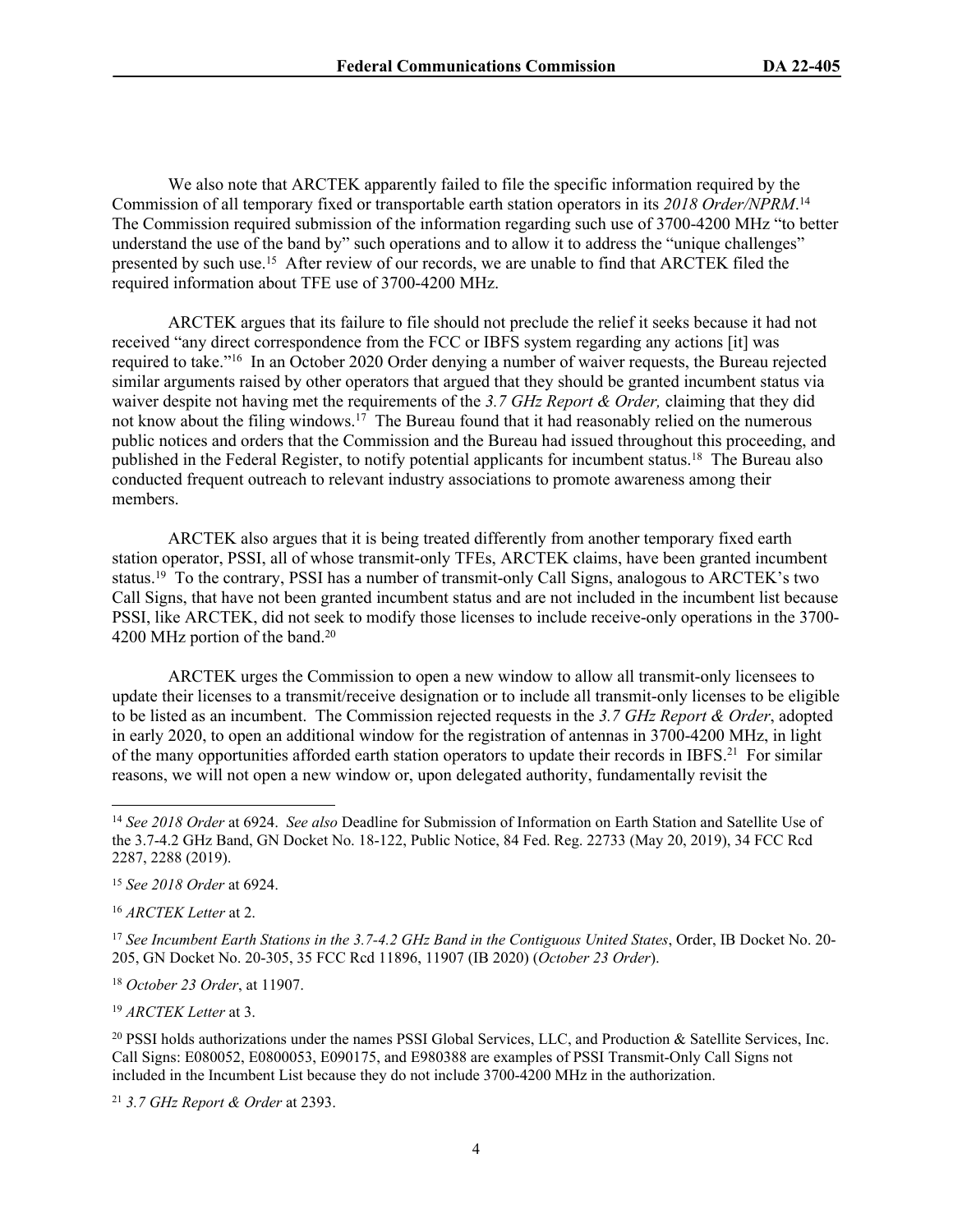We also note that ARCTEK apparently failed to file the specific information required by the Commission of all temporary fixed or transportable earth station operators in its *2018 Order/NPRM*. 14 The Commission required submission of the information regarding such use of 3700-4200 MHz "to better understand the use of the band by" such operations and to allow it to address the "unique challenges" presented by such use.<sup>15</sup> After review of our records, we are unable to find that ARCTEK filed the required information about TFE use of 3700-4200 MHz.

ARCTEK argues that its failure to file should not preclude the relief it seeks because it had not received "any direct correspondence from the FCC or IBFS system regarding any actions [it] was required to take."<sup>16</sup> In an October 2020 Order denying a number of waiver requests, the Bureau rejected similar arguments raised by other operators that argued that they should be granted incumbent status via waiver despite not having met the requirements of the *3.7 GHz Report & Order,* claiming that they did not know about the filing windows.<sup>17</sup> The Bureau found that it had reasonably relied on the numerous public notices and orders that the Commission and the Bureau had issued throughout this proceeding, and published in the Federal Register, to notify potential applicants for incumbent status.<sup>18</sup> The Bureau also conducted frequent outreach to relevant industry associations to promote awareness among their members.

ARCTEK also argues that it is being treated differently from another temporary fixed earth station operator, PSSI, all of whose transmit-only TFEs, ARCTEK claims, have been granted incumbent status.<sup>19</sup> To the contrary, PSSI has a number of transmit-only Call Signs, analogous to ARCTEK's two Call Signs, that have not been granted incumbent status and are not included in the incumbent list because PSSI, like ARCTEK, did not seek to modify those licenses to include receive-only operations in the 3700- 4200 MHz portion of the band.<sup>20</sup>

ARCTEK urges the Commission to open a new window to allow all transmit-only licensees to update their licenses to a transmit/receive designation or to include all transmit-only licenses to be eligible to be listed as an incumbent. The Commission rejected requests in the *3.7 GHz Report & Order*, adopted in early 2020, to open an additional window for the registration of antennas in 3700-4200 MHz, in light of the many opportunities afforded earth station operators to update their records in IBFS.<sup>21</sup> For similar reasons, we will not open a new window or, upon delegated authority, fundamentally revisit the

<sup>16</sup> *ARCTEK Letter* at 2.

<sup>18</sup> *October 23 Order*, at 11907.

<sup>19</sup> *ARCTEK Letter* at 3.

<sup>20</sup> PSSI holds authorizations under the names PSSI Global Services, LLC, and Production & Satellite Services, Inc. Call Signs: E080052, E0800053, E090175, and E980388 are examples of PSSI Transmit-Only Call Signs not included in the Incumbent List because they do not include 3700-4200 MHz in the authorization.

<sup>21</sup> *3.7 GHz Report & Order* at 2393.

<sup>14</sup> *See 2018 Order* at 6924. *See also* Deadline for Submission of Information on Earth Station and Satellite Use of the 3.7-4.2 GHz Band, GN Docket No. 18-122, Public Notice, 84 Fed. Reg. 22733 (May 20, 2019), 34 FCC Rcd 2287, 2288 (2019).

<sup>15</sup> *See 2018 Order* at 6924.

<sup>17</sup> *See Incumbent Earth Stations in the 3.7-4.2 GHz Band in the Contiguous United States*, Order, IB Docket No. 20- 205, GN Docket No. 20-305, 35 FCC Rcd 11896, 11907 (IB 2020) (*October 23 Order*).